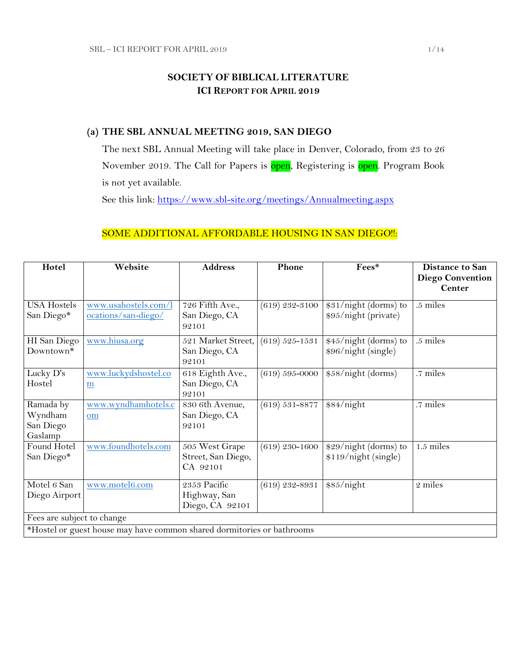## **SOCIETY OF BIBLICAL LITERATURE ICI REPORT FOR APRIL 2019**

### **(a) THE SBL ANNUAL MEETING 2019, SAN DIEGO**

The next SBL Annual Meeting will take place in Denver, Colorado, from 23 to 26 November 2019. The Call for Papers is **open**, Registering is **open**. Program Book is not yet available.

See this link:<https://www.sbl-site.org/meetings/Annualmeeting.aspx>

## SOME ADDITIONAL AFFORDABLE HOUSING IN SAN DIEGO !!:

| Hotel                                                                  | Website                                          | <b>Address</b>                                   | Phone              | Fees*                                         | <b>Distance to San</b><br><b>Diego Convention</b> |
|------------------------------------------------------------------------|--------------------------------------------------|--------------------------------------------------|--------------------|-----------------------------------------------|---------------------------------------------------|
|                                                                        |                                                  |                                                  |                    |                                               | <b>Center</b>                                     |
| <b>USA Hostels</b><br>San Diego*                                       | www.usahostels.com/l<br>ocations/san-diego/      | 726 Fifth Ave.,<br>San Diego, CA<br>92101        | $(619)$ 232-3100   | \$31/night (dorms) to<br>\$95/night (private) | .5 miles                                          |
| HI San Diego<br>Downtown*                                              | www.hiusa.org                                    | 521 Market Street,<br>San Diego, CA<br>92101     | $(619) 525 - 1531$ | \$45/night (dorms) to<br>\$96/night (single)  | .5 miles                                          |
| Lucky D's<br>Hostel                                                    | www.luckydshostel.co<br>$\underline{\mathbf{m}}$ | 618 Eighth Ave.,<br>San Diego, CA<br>92101       | $(619) 595 - 0000$ | \$58/night (dorms)                            | .7 miles                                          |
| Ramada by<br>Wyndham<br>San Diego<br>Gaslamp                           | www.wyndhamhotels.c<br>om                        | 830 6th Avenue,<br>San Diego, CA<br>92101        | $(619) 531 - 8877$ | \$84/night                                    | .7 miles                                          |
| Found Hotel<br>San Diego*                                              | www.foundhotels.com                              | 505 West Grape<br>Street, San Diego,<br>CA 92101 | $(619)$ 230-1600   | \$29/night (dorms) to<br>\$119/night (single) | $1.5$ miles                                       |
| Motel 6 San<br>Diego Airport                                           | www.motel6.com                                   | 2353 Pacific<br>Highway, San<br>Diego, CA 92101  | $(619)$ 232-8931   | \$85/night                                    | 2 miles                                           |
| Fees are subject to change                                             |                                                  |                                                  |                    |                                               |                                                   |
| *Hostel or guest house may have common shared dormitories or bathrooms |                                                  |                                                  |                    |                                               |                                                   |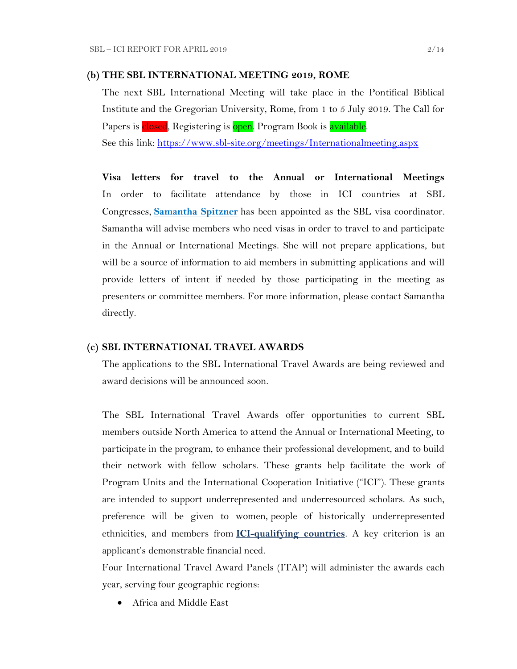#### **(b) THE SBL INTERNATIONAL MEETING 2019, ROME**

The next SBL International Meeting will take place in the Pontifical Biblical Institute and the Gregorian University, Rome, from 1 to 5 July 2019. The Call for Papers is closed, Registering is open. Program Book is available.

See this link:<https://www.sbl-site.org/meetings/Internationalmeeting.aspx>

**Visa letters for travel to the Annual or International Meetings** In order to facilitate attendance by those in ICI countries at SBL Congresses, **[Samantha Spitzner](mailto:samantha.spitzner@sbl-site.org)** has been appointed as the SBL visa coordinator. Samantha will advise members who need visas in order to travel to and participate in the Annual or International Meetings. She will not prepare applications, but will be a source of information to aid members in submitting applications and will provide letters of intent if needed by those participating in the meeting as presenters or committee members. For more information, please contact Samantha directly.

#### **(c) SBL INTERNATIONAL TRAVEL AWARDS**

The applications to the SBL International Travel Awards are being reviewed and award decisions will be announced soon.

The SBL International Travel Awards offer opportunities to current SBL members outside North America to attend the Annual or International Meeting, to participate in the program, to enhance their professional development, and to build their network with fellow scholars. These grants help facilitate the work of Program Units and the International Cooperation Initiative ("ICI"). These grants are intended to support underrepresented and underresourced scholars. As such, preference will be given to women, people of historically underrepresented ethnicities, and members from **[ICI-qualifying countries](https://www.sbl-site.org/assets/pdfs/ICIcountries.pdf)**. A key criterion is an applicant's demonstrable financial need.

Four International Travel Award Panels (ITAP) will administer the awards each year, serving four geographic regions:

Africa and Middle East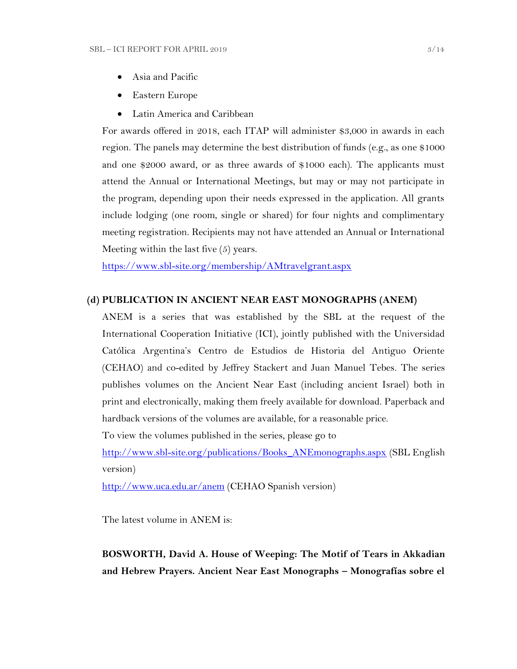- Asia and Pacific
- Eastern Europe
- Latin America and Caribbean

For awards offered in 2018, each ITAP will administer \$3,000 in awards in each region. The panels may determine the best distribution of funds (e.g., as one \$1000 and one \$2000 award, or as three awards of \$1000 each). The applicants must attend the Annual or International Meetings, but may or may not participate in the program, depending upon their needs expressed in the application. All grants include lodging (one room, single or shared) for four nights and complimentary meeting registration. Recipients may not have attended an Annual or International Meeting within the last five (5) years.

<https://www.sbl-site.org/membership/AMtravelgrant.aspx>

#### **(d) PUBLICATION IN [ANCIENT NEAR EAST MONOGRAPHS](http://www.sbl-site.org/publications/Books_ANEmonographs.aspx) (ANEM)**

ANEM is a series that was established by the SBL at the request of the International Cooperation Initiative (ICI), jointly published with the Universidad Católica Argentina's Centro de Estudios de Historia del Antiguo Oriente (CEHAO) and co-edited by Jeffrey Stackert and Juan Manuel Tebes. The series publishes volumes on the Ancient Near East (including ancient Israel) both in print and electronically, making them freely available for download. Paperback and hardback versions of the volumes are available, for a reasonable price.

To view the volumes published in the series, please go to

[http://www.sbl-site.org/publications/Books\\_ANEmonographs.aspx](http://www.sbl-site.org/publications/Books_ANEmonographs.aspx) (SBL English version)

<http://www.uca.edu.ar/anem> (CEHAO Spanish version)

The latest volume in ANEM is:

**BOSWORTH, David A. House of Weeping: The Motif of Tears in Akkadian and Hebrew Prayers. Ancient Near East Monographs – Monografías sobre el**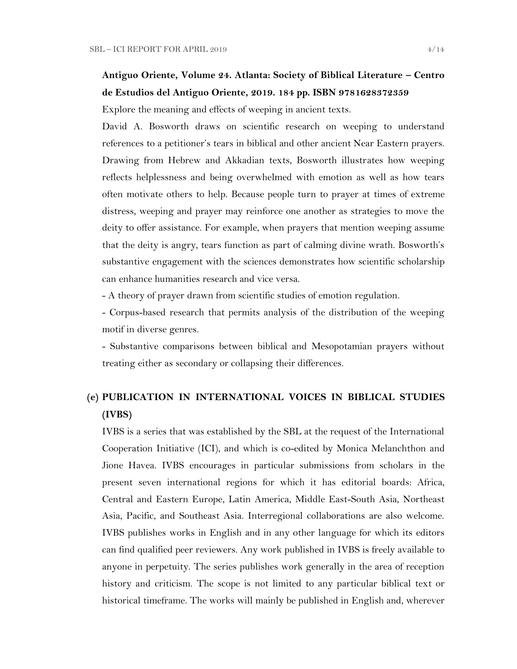# **Antiguo Oriente, Volume 24. Atlanta: Society of Biblical Literature – Centro de Estudios del Antiguo Oriente, 2019. 184 pp. ISBN 9781628372359**

Explore the meaning and effects of weeping in ancient texts.

David A. Bosworth draws on scientific research on weeping to understand references to a petitioner's tears in biblical and other ancient Near Eastern prayers. Drawing from Hebrew and Akkadian texts, Bosworth illustrates how weeping reflects helplessness and being overwhelmed with emotion as well as how tears often motivate others to help. Because people turn to prayer at times of extreme distress, weeping and prayer may reinforce one another as strategies to move the deity to offer assistance. For example, when prayers that mention weeping assume that the deity is angry, tears function as part of calming divine wrath. Bosworth's substantive engagement with the sciences demonstrates how scientific scholarship can enhance humanities research and vice versa.

- A theory of prayer drawn from scientific studies of emotion regulation.

- Corpus-based research that permits analysis of the distribution of the weeping motif in diverse genres.

- Substantive comparisons between biblical and Mesopotamian prayers without treating either as secondary or collapsing their differences.

# **(e) PUBLICATION IN INTERNATIONAL VOICES IN BIBLICAL STUDIES (IVBS)**

IVBS is a series that was established by the SBL at the request of the International Cooperation Initiative (ICI), and which is co-edited by Monica Melanchthon and Jione Havea. IVBS encourages in particular submissions from scholars in the present seven international regions for which it has editorial boards: Africa, Central and Eastern Europe, Latin America, Middle East-South Asia, Northeast Asia, Pacific, and Southeast Asia. Interregional collaborations are also welcome. IVBS publishes works in English and in any other language for which its editors can find qualified peer reviewers. Any work published in IVBS is freely available to anyone in perpetuity. The series publishes work generally in the area of reception history and criticism. The scope is not limited to any particular biblical text or historical timeframe. The works will mainly be published in English and, wherever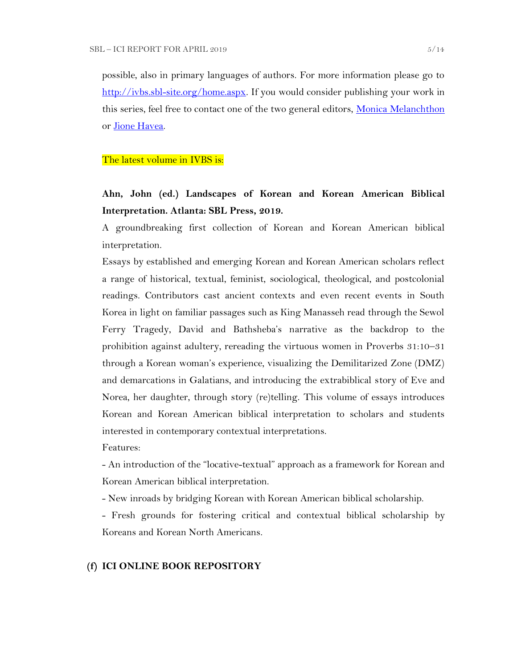possible, also in primary languages of authors. For more information please go to [http://ivbs.sbl-site.org/home.aspx.](http://ivbs.sbl-site.org/home.aspx) If you would consider publishing your work in this series, feel free to contact one of the two general editors, [Monica Melanchthon](mailto:ivbs2010@gmail.com) or [Jione Havea.](mailto:jioneh@nsw.uca.org.au)

#### The latest volume in IVBS is:

# **Ahn, John (ed.) Landscapes of Korean and Korean American Biblical Interpretation. Atlanta: SBL Press, 2019.**

A groundbreaking first collection of Korean and Korean American biblical interpretation.

Essays by established and emerging Korean and Korean American scholars reflect a range of historical, textual, feminist, sociological, theological, and postcolonial readings. Contributors cast ancient contexts and even recent events in South Korea in light on familiar passages such as King Manasseh read through the Sewol Ferry Tragedy, David and Bathsheba's narrative as the backdrop to the prohibition against adultery, rereading the virtuous women in Proverbs 31:10–31 through a Korean woman's experience, visualizing the Demilitarized Zone (DMZ) and demarcations in Galatians, and introducing the extrabiblical story of Eve and Norea, her daughter, through story (re)telling. This volume of essays introduces Korean and Korean American biblical interpretation to scholars and students interested in contemporary contextual interpretations.

Features:

- An introduction of the "locative-textual" approach as a framework for Korean and Korean American biblical interpretation.

- New inroads by bridging Korean with Korean American biblical scholarship.

- Fresh grounds for fostering critical and contextual biblical scholarship by Koreans and Korean North Americans.

#### **(f) ICI ONLINE BOOK REPOSITORY**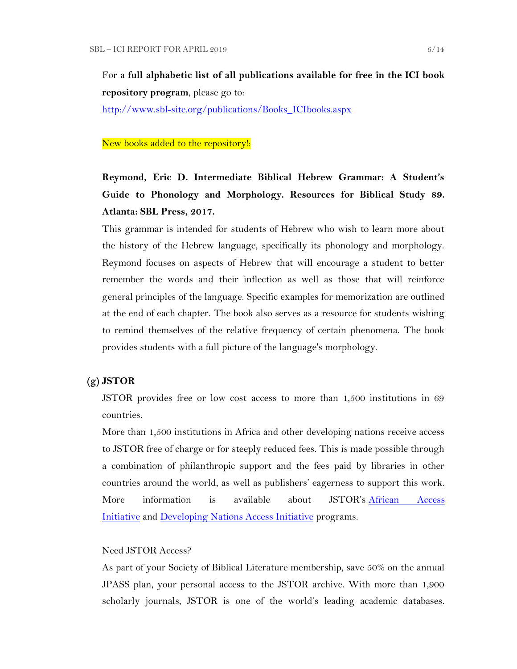For a **full alphabetic list of all publications available for free in the ICI book repository program**, please go to:

[http://www.sbl-site.org/publications/Books\\_ICIbooks.aspx](http://www.sbl-site.org/publications/Books_ICIbooks.aspx)

#### New books added to the repository!:

**Reymond, Eric D. Intermediate Biblical Hebrew Grammar: A Student's Guide to Phonology and Morphology. Resources for Biblical Study 89. Atlanta: SBL Press, 2017.**

This grammar is intended for students of Hebrew who wish to learn more about the history of the Hebrew language, specifically its phonology and morphology. Reymond focuses on aspects of Hebrew that will encourage a student to better remember the words and their inflection as well as those that will reinforce general principles of the language. Specific examples for memorization are outlined at the end of each chapter. The book also serves as a resource for students wishing to remind themselves of the relative frequency of certain phenomena. The book provides students with a full picture of the language's morphology.

#### **(g) JSTOR**

JSTOR provides free or low cost access to more than 1,500 institutions in 69 countries.

More than 1,500 institutions in Africa and other developing nations receive access to JSTOR free of charge or for steeply reduced fees. This is made possible through a combination of philanthropic support and the fees paid by libraries in other countries around the world, as well as publishers' eagerness to support this work. More information is available about JSTOR's [African Access](http://about.jstor.org/libraries/african-access-initiative)  [Initiative](http://about.jstor.org/libraries/african-access-initiative) and [Developing Nations Access Initiative](http://about.jstor.org/libraries/developing-nations-access-initiative) programs.

#### Need JSTOR Access?

As part of your Society of Biblical Literature membership, save 50% on the annual JPASS plan, your personal access to the JSTOR archive. With more than 1,900 scholarly journals, JSTOR is one of the world's leading academic databases.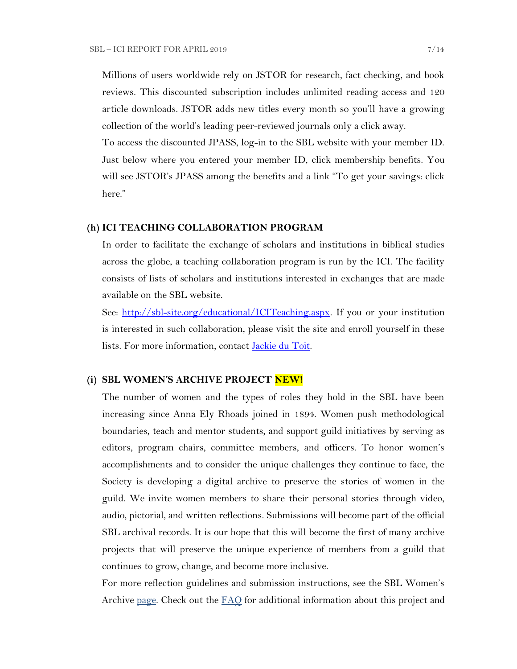Millions of users worldwide rely on JSTOR for research, fact checking, and book reviews. This discounted subscription includes unlimited reading access and 120 article downloads. JSTOR adds new titles every month so you'll have a growing collection of the world's leading peer-reviewed journals only a click away.

To access the discounted JPASS, log-in to the SBL website with your member ID. Just below where you entered your member ID, click membership benefits. You will see JSTOR's JPASS among the benefits and a link "To get your savings: click here."

#### **(h) ICI TEACHING COLLABORATION PROGRAM**

In order to facilitate the exchange of scholars and institutions in biblical studies across the globe, a teaching collaboration program is run by the ICI. The facility consists of lists of scholars and institutions interested in exchanges that are made available on the SBL website.

See: [http://sbl-site.org/educational/ICITeaching.aspx.](http://sbl-site.org/educational/ICITeaching.aspx) If you or your institution is interested in such collaboration, please visit the site and enroll yourself in these lists. For more information, contact [Jackie du Toit.](mailto:dutoitjs@ufs.ac.za)

#### **(i) SBL WOMEN'S ARCHIVE PROJECT NEW!**

The number of women and the types of roles they hold in the SBL have been increasing since Anna Ely Rhoads joined in 1894. Women push methodological boundaries, teach and mentor students, and support guild initiatives by serving as editors, program chairs, committee members, and officers. To honor women's accomplishments and to consider the unique challenges they continue to face, the Society is developing a digital archive to preserve the stories of women in the guild. We invite women members to share their personal stories through video, audio, pictorial, and written reflections. Submissions will become part of the official SBL archival records. It is our hope that this will become the first of many archive projects that will preserve the unique experience of members from a guild that continues to grow, change, and become more inclusive.

For more reflection guidelines and submission instructions, see the SBL Women's Archive [page.](https://nam04.safelinks.protection.outlook.com/?url=http%3A%2F%2Fr20.rs6.net%2Ftn.jsp%3Ff%3D001UxB5SQIuVUKz9COuM3IsPWnWKqoK39z2VG4xqTm8KZlA_ZE17Z7Fa2PmCgTjMMxZJIpcAIjlvUF-irxd2rwYbEMLTrV0K_WM51IpZKkkhMDgd8_9aVPRw3rlId_KW8E944PO6OC3qczzRWSY7H-TuxvuErx13KKirGuJ38oWvop66nka2FiuLpzq0iT-us5e%26c%3DQ2tCZ6oCYeHLWgeasA7YFffpqmCkeEopn2jFFHww1HRSHdGZkow9Cg%3D%3D%26ch%3Dndma_uDxhxPhjRABmkw-gBQiRkfwAotBZK8Ps3z0wu4oDwHg9u9sLg%3D%3D&data=02%7C01%7CWALFORD_ND%40mercer.edu%7Cf513cd74ff8548bede3608d6b5da7f75%7C4fb34d2889b247109bcc30824d17fc30%7C0%7C0%7C636896347381808305&sdata=tiSsidRd6oL6K11UbD%2BSSPY7fRIjvdDnpsEU3BWCZRg%3D&reserved=0) Check out the [FAQ](http://r20.rs6.net/tn.jsp?f=001daD3lBrhj8ZbS8-GLHmkkfCXBAC1VygxiIGaWr04TSwAe6xpaQQvNJKWplVAEpG6TEU1_8KlnBObWx0oZC8x7WoLEp77_1CFtxX0KaAFLBjOBdYTd2f5qgWSoEYDRce9P__OLb1j9qY-AF3VQc1Y44LRzHcBpPqZU-EHsK1QZTJIoW4LFbKk7i8Ng-wzmNHDH6gAjZEh02zQc7Hju5X1UnsIvXFI2f0S&c=eIPPqaSd2_Vy4YClv5OeeUxZS30eJVZ-NpEqtmoT_RO1qkg45kBI_g==&ch=TNoNbOW4OE_N3IXbNrssVzBYer7u1PunhQWZuBYieCMVeDT7hGjUZQ==) for additional information about this project and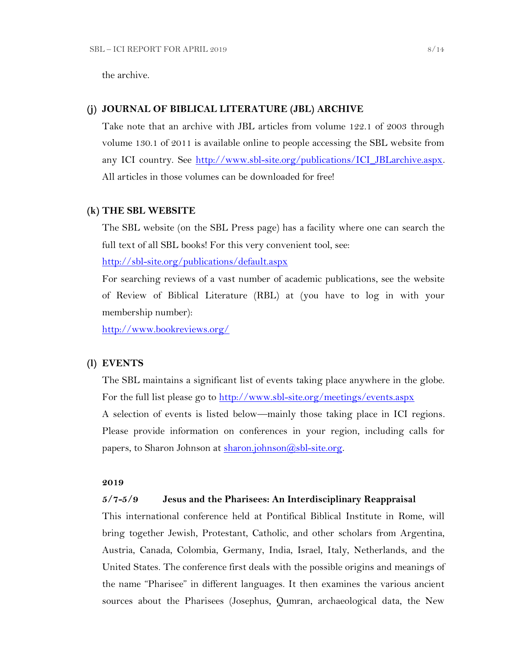the archive.

#### **(j) JOURNAL OF BIBLICAL LITERATURE (JBL) ARCHIVE**

Take note that an archive with JBL articles from volume 122.1 of 2003 through volume 130.1 of 2011 is available online to people accessing the SBL website from any ICI country. See [http://www.sbl-site.org/publications/ICI\\_JBLarchive.aspx.](http://www.sbl-site.org/publications/ICI_JBLarchive.aspx)  All articles in those volumes can be downloaded for free!

#### **(k) THE SBL WEBSITE**

The SBL website (on the SBL Press page) has a facility where one can search the full text of all SBL books! For this very convenient tool, see:

<http://sbl-site.org/publications/default.aspx>

For searching reviews of a vast number of academic publications, see the website of Review of Biblical Literature (RBL) at (you have to log in with your membership number):

<http://www.bookreviews.org/>

#### **(l) EVENTS**

The SBL maintains a significant list of events taking place anywhere in the globe. For the full list please go to<http://www.sbl-site.org/meetings/events.aspx> A selection of events is listed below—mainly those taking place in ICI regions. Please provide information on conferences in your region, including calls for papers, to Sharon Johnson at  $\frac{\text{sharon.}~\text{johnson}(a,\text{sb1-site.}~\text{org.}}{h}$ 

#### **2019**

#### **5/7-5/9 Jesus and the Pharisees: An Interdisciplinary Reappraisal**

This international conference held at Pontifical Biblical Institute in Rome, will bring together Jewish, Protestant, Catholic, and other scholars from Argentina, Austria, Canada, Colombia, Germany, India, Israel, Italy, Netherlands, and the United States. The conference first deals with the possible origins and meanings of the name "Pharisee" in different languages. It then examines the various ancient sources about the Pharisees (Josephus, Qumran, archaeological data, the New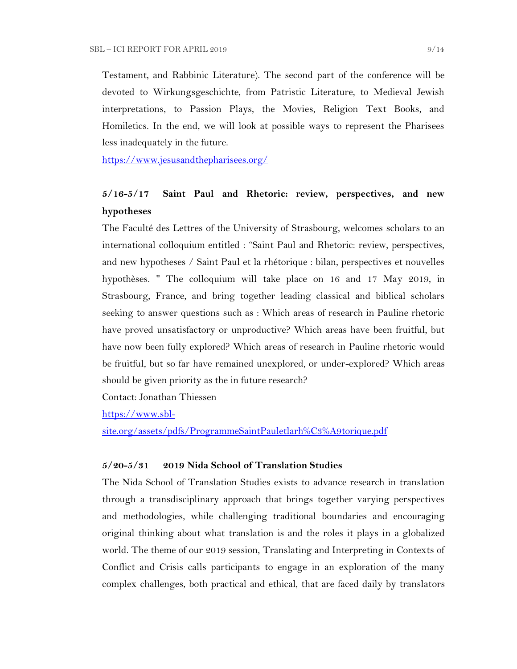Testament, and Rabbinic Literature). The second part of the conference will be devoted to Wirkungsgeschichte, from Patristic Literature, to Medieval Jewish interpretations, to Passion Plays, the Movies, Religion Text Books, and Homiletics. In the end, we will look at possible ways to represent the Pharisees less inadequately in the future.

<https://www.jesusandthepharisees.org/>

## **5/16-5/17 Saint Paul and Rhetoric: review, perspectives, and new hypotheses**

The Faculté des Lettres of the University of Strasbourg, welcomes scholars to an international colloquium entitled : "Saint Paul and Rhetoric: review, perspectives, and new hypotheses / Saint Paul et la rhétorique : bilan, perspectives et nouvelles hypothèses. " The colloquium will take place on 16 and 17 May 2019, in Strasbourg, France, and bring together leading classical and biblical scholars seeking to answer questions such as : Which areas of research in Pauline rhetoric have proved unsatisfactory or unproductive? Which areas have been fruitful, but have now been fully explored? Which areas of research in Pauline rhetoric would be fruitful, but so far have remained unexplored, or under-explored? Which areas should be given priority as the in future research?

Contact: Jonathan Thiessen

[https://www.sbl-](https://www.sbl-site.org/assets/pdfs/ProgrammeSaintPauletlarh%C3%A9torique.pdf)

[site.org/assets/pdfs/ProgrammeSaintPauletlarh%C3%A9torique.pdf](https://www.sbl-site.org/assets/pdfs/ProgrammeSaintPauletlarh%C3%A9torique.pdf)

#### **5/20-5/31 2019 Nida School of Translation Studies**

The Nida School of Translation Studies exists to advance research in translation through a transdisciplinary approach that brings together varying perspectives and methodologies, while challenging traditional boundaries and encouraging original thinking about what translation is and the roles it plays in a globalized world. The theme of our 2019 session, Translating and Interpreting in Contexts of Conflict and Crisis calls participants to engage in an exploration of the many complex challenges, both practical and ethical, that are faced daily by translators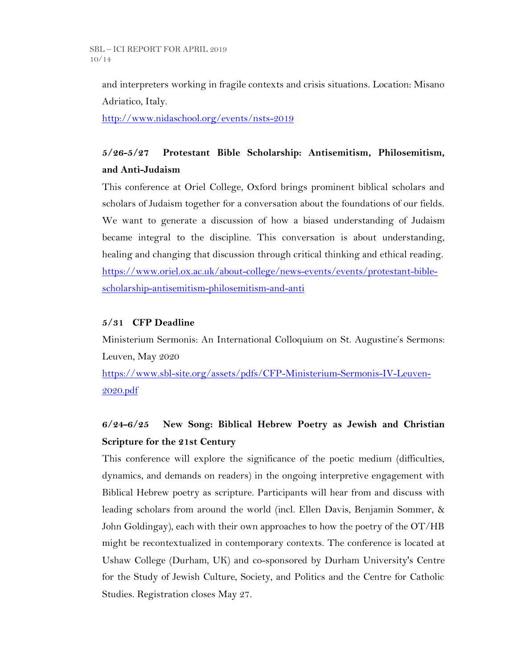and interpreters working in fragile contexts and crisis situations. Location: Misano Adriatico, Italy.

<http://www.nidaschool.org/events/nsts-2019>

# **5/26-5/27 Protestant Bible Scholarship: Antisemitism, Philosemitism, and Anti-Judaism**

This conference at Oriel College, Oxford brings prominent biblical scholars and scholars of Judaism together for a conversation about the foundations of our fields. We want to generate a discussion of how a biased understanding of Judaism became integral to the discipline. This conversation is about understanding, healing and changing that discussion through critical thinking and ethical reading. [https://www.oriel.ox.ac.uk/about-college/news-events/events/protestant-bible](https://www.oriel.ox.ac.uk/about-college/news-events/events/protestant-bible-scholarship-antisemitism-philosemitism-and-anti)[scholarship-antisemitism-philosemitism-and-anti](https://www.oriel.ox.ac.uk/about-college/news-events/events/protestant-bible-scholarship-antisemitism-philosemitism-and-anti)

### **5/31 CFP Deadline**

Ministerium Sermonis: An International Colloquium on St. Augustine's Sermons: Leuven, May 2020

[https://www.sbl-site.org/assets/pdfs/CFP-Ministerium-Sermonis-IV-Leuven-](https://www.sbl-site.org/assets/pdfs/CFP-Ministerium-Sermonis-IV-Leuven-2020.pdf)[2020.pdf](https://www.sbl-site.org/assets/pdfs/CFP-Ministerium-Sermonis-IV-Leuven-2020.pdf)

# **6/24-6/25 New Song: Biblical Hebrew Poetry as Jewish and Christian Scripture for the 21st Century**

This conference will explore the significance of the poetic medium (difficulties, dynamics, and demands on readers) in the ongoing interpretive engagement with Biblical Hebrew poetry as scripture. Participants will hear from and discuss with leading scholars from around the world (incl. Ellen Davis, Benjamin Sommer, & John Goldingay), each with their own approaches to how the poetry of the OT/HB might be recontextualized in contemporary contexts. The conference is located at Ushaw College (Durham, UK) and co-sponsored by Durham University's Centre for the Study of Jewish Culture, Society, and Politics and the Centre for Catholic Studies. Registration closes May 27.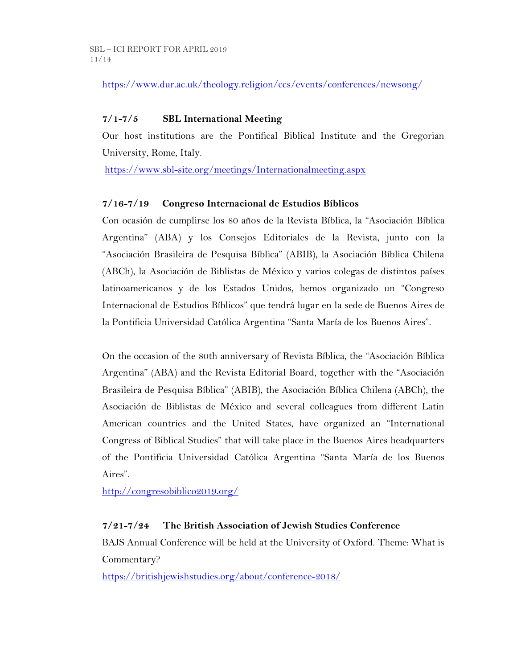<https://www.dur.ac.uk/theology.religion/ccs/events/conferences/newsong/>

### **7/1-7/5 SBL International Meeting**

Our host institutions are the Pontifical Biblical Institute and the Gregorian University, Rome, Italy.

<https://www.sbl-site.org/meetings/Internationalmeeting.aspx>

### **7/16-7/19 Congreso Internacional de Estudios Bíblicos**

Con ocasión de cumplirse los 80 años de la Revista Bíblica, la "Asociación Bíblica Argentina" (ABA) y los Consejos Editoriales de la Revista, junto con la "Asociación Brasileira de Pesquisa Bíblica" (ABIB), la Asociación Bíblica Chilena (ABCh), la Asociación de Biblistas de México y varios colegas de distintos países latinoamericanos y de los Estados Unidos, hemos organizado un "Congreso Internacional de Estudios Bíblicos" que tendrá lugar en la sede de Buenos Aires de la Pontificia Universidad Católica Argentina "Santa María de los Buenos Aires".

On the occasion of the 80th anniversary of Revista Bíblica, the "Asociación Bíblica Argentina" (ABA) and the Revista Editorial Board, together with the "Asociación Brasileira de Pesquisa Bíblica" (ABIB), the Asociación Bíblica Chilena (ABCh), the Asociación de Biblistas de México and several colleagues from different Latin American countries and the United States, have organized an "International Congress of Biblical Studies" that will take place in the Buenos Aires headquarters of the Pontificia Universidad Católica Argentina "Santa María de los Buenos Aires".

<http://congresobiblico2019.org/>

## **7/21-7/24 The British Association of Jewish Studies Conference**

BAJS Annual Conference will be held at the University of Oxford. Theme: What is Commentary?

<https://britishjewishstudies.org/about/conference-2018/>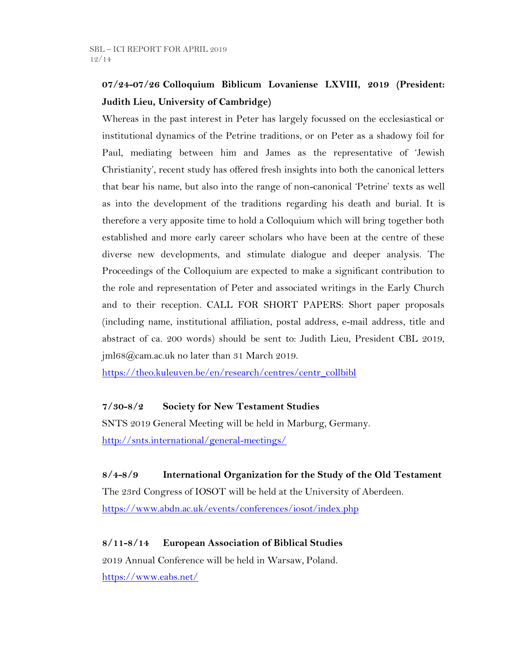# **07/24-07/26 Colloquium Biblicum Lovaniense LXVIII, 2019 (President: Judith Lieu, University of Cambridge)**

Whereas in the past interest in Peter has largely focussed on the ecclesiastical or institutional dynamics of the Petrine traditions, or on Peter as a shadowy foil for Paul, mediating between him and James as the representative of 'Jewish Christianity', recent study has offered fresh insights into both the canonical letters that bear his name, but also into the range of non-canonical 'Petrine' texts as well as into the development of the traditions regarding his death and burial. It is therefore a very apposite time to hold a Colloquium which will bring together both established and more early career scholars who have been at the centre of these diverse new developments, and stimulate dialogue and deeper analysis. The Proceedings of the Colloquium are expected to make a significant contribution to the role and representation of Peter and associated writings in the Early Church and to their reception. CALL FOR SHORT PAPERS: Short paper proposals (including name, institutional affiliation, postal address, e-mail address, title and abstract of ca. 200 words) should be sent to: Judith Lieu, President CBL 2019, jml68@cam.ac.uk no later than 31 March 2019.

[https://theo.kuleuven.be/en/research/centres/centr\\_collbibl](https://theo.kuleuven.be/en/research/centres/centr_collbibl)

## **7/30-8/2 Society for New Testament Studies**

SNTS 2019 General Meeting will be held in Marburg, Germany. <http://snts.international/general-meetings/>

## **8/4-8/9 International Organization for the Study of the Old Testament**

The 23rd Congress of IOSOT will be held at the University of Aberdeen. <https://www.abdn.ac.uk/events/conferences/iosot/index.php>

## **8/11-8/14 European Association of Biblical Studies**

2019 Annual Conference will be held in Warsaw, Poland. <https://www.eabs.net/>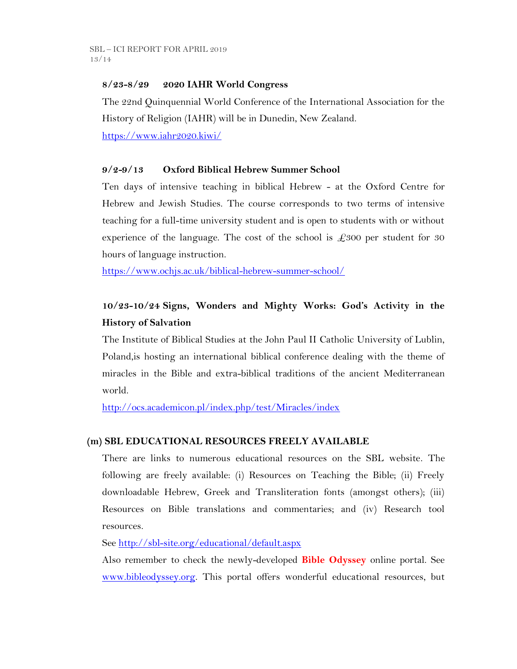### **8/23-8/29 2020 IAHR World Congress**

The 22nd Quinquennial World Conference of the International Association for the History of Religion (IAHR) will be in Dunedin, New Zealand.

<https://www.iahr2020.kiwi/>

### **9/2-9/13 Oxford Biblical Hebrew Summer School**

Ten days of intensive teaching in biblical Hebrew - at the Oxford Centre for Hebrew and Jewish Studies. The course corresponds to two terms of intensive teaching for a full-time university student and is open to students with or without experience of the language. The cost of the school is  $\pounds 300$  per student for 30 hours of language instruction.

<https://www.ochjs.ac.uk/biblical-hebrew-summer-school/>

# **10/23-10/24 Signs, Wonders and Mighty Works: God's Activity in the History of Salvation**

The Institute of Biblical Studies at the John Paul II Catholic University of Lublin, Poland,is hosting an international biblical conference dealing with the theme of miracles in the Bible and extra-biblical traditions of the ancient Mediterranean world.

<http://ocs.academicon.pl/index.php/test/Miracles/index>

## **(m) SBL EDUCATIONAL RESOURCES FREELY AVAILABLE**

There are links to numerous educational resources on the SBL website. The following are freely available: (i) Resources on Teaching the Bible; (ii) Freely downloadable Hebrew, Greek and Transliteration fonts (amongst others); (iii) Resources on Bible translations and commentaries; and (iv) Research tool resources.

See<http://sbl-site.org/educational/default.aspx>

Also remember to check the newly-developed **Bible Odyssey** online portal. See [www.bibleodyssey.org.](http://www.bibleodyssey.org/) This portal offers wonderful educational resources, but